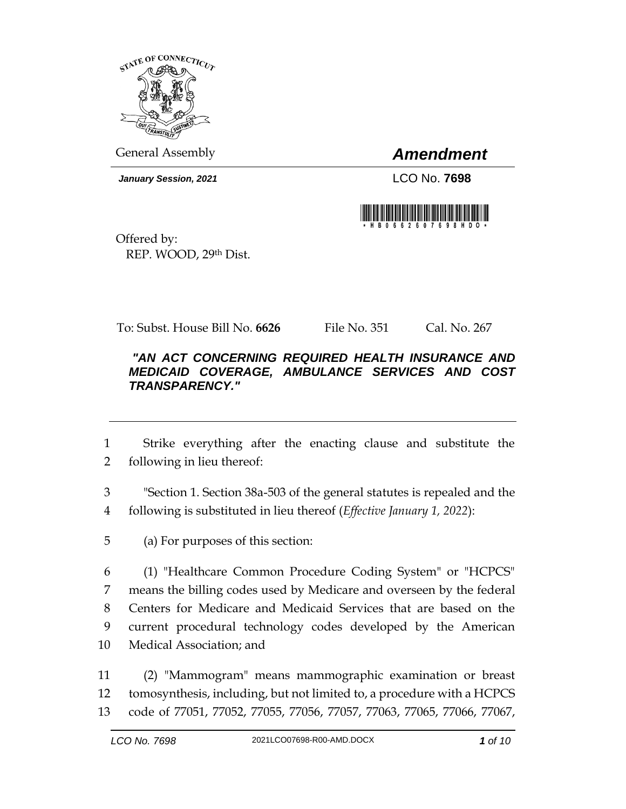

General Assembly *Amendment*

*January Session, 2021* LCO No. **7698**



Offered by: REP. WOOD, 29th Dist.

To: Subst. House Bill No. **6626** File No. 351 Cal. No. 267

## *"AN ACT CONCERNING REQUIRED HEALTH INSURANCE AND MEDICAID COVERAGE, AMBULANCE SERVICES AND COST TRANSPARENCY."*

1 Strike everything after the enacting clause and substitute the 2 following in lieu thereof:

3 "Section 1. Section 38a-503 of the general statutes is repealed and the 4 following is substituted in lieu thereof (*Effective January 1, 2022*):

5 (a) For purposes of this section:

 (1) "Healthcare Common Procedure Coding System" or "HCPCS" means the billing codes used by Medicare and overseen by the federal Centers for Medicare and Medicaid Services that are based on the current procedural technology codes developed by the American Medical Association; and

11 (2) "Mammogram" means mammographic examination or breast 12 tomosynthesis, including, but not limited to, a procedure with a HCPCS 13 code of 77051, 77052, 77055, 77056, 77057, 77063, 77065, 77066, 77067,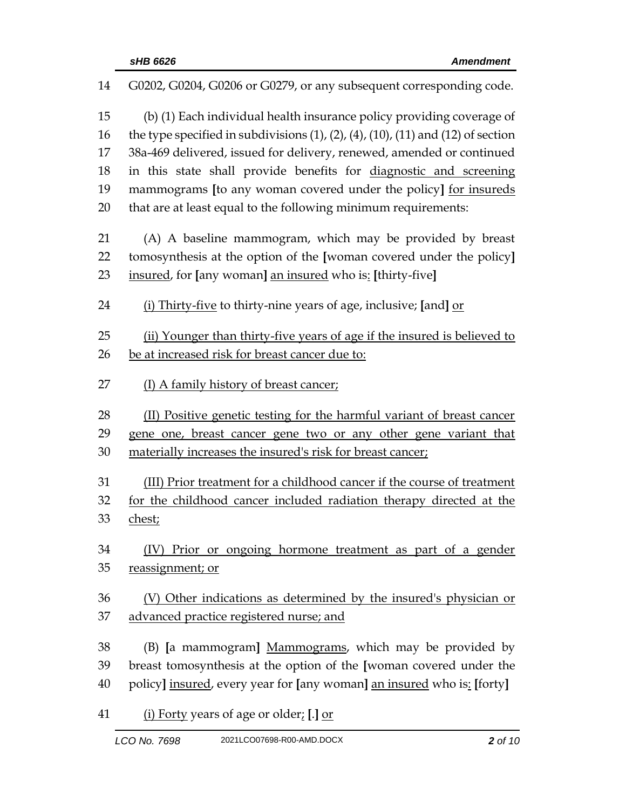| 14 | G0202, G0204, G0206 or G0279, or any subsequent corresponding code.                              |
|----|--------------------------------------------------------------------------------------------------|
| 15 | (b) (1) Each individual health insurance policy providing coverage of                            |
| 16 | the type specified in subdivisions $(1)$ , $(2)$ , $(4)$ , $(10)$ , $(11)$ and $(12)$ of section |
| 17 | 38a-469 delivered, issued for delivery, renewed, amended or continued                            |
| 18 | in this state shall provide benefits for diagnostic and screening                                |
| 19 | mammograms [to any woman covered under the policy] for insureds                                  |
| 20 | that are at least equal to the following minimum requirements:                                   |
| 21 | (A) A baseline mammogram, which may be provided by breast                                        |
| 22 | tomosynthesis at the option of the [woman covered under the policy]                              |
| 23 | insured, for [any woman] an insured who is: [thirty-five]                                        |
| 24 | (i) Thirty-five to thirty-nine years of age, inclusive; [and] or                                 |
| 25 | (ii) Younger than thirty-five years of age if the insured is believed to                         |
| 26 | be at increased risk for breast cancer due to:                                                   |
| 27 | (I) A family history of breast cancer;                                                           |
|    |                                                                                                  |
| 28 | (II) Positive genetic testing for the harmful variant of breast cancer                           |
| 29 | gene one, breast cancer gene two or any other gene variant that                                  |
| 30 | materially increases the insured's risk for breast cancer;                                       |
| 31 | (III) Prior treatment for a childhood cancer if the course of treatment                          |
| 32 | for the childhood cancer included radiation therapy directed at the                              |
| 33 | chest;                                                                                           |
| 34 | (IV) Prior or ongoing hormone treatment as part of a gender                                      |
| 35 | reassignment; or                                                                                 |
| 36 | (V) Other indications as determined by the insured's physician or                                |
| 37 | advanced practice registered nurse; and                                                          |
| 38 | (B) [a mammogram] Mammograms, which may be provided by                                           |
| 39 | breast tomosynthesis at the option of the [woman covered under the                               |
| 40 | policy] insured, every year for [any woman] an insured who is: [forty]                           |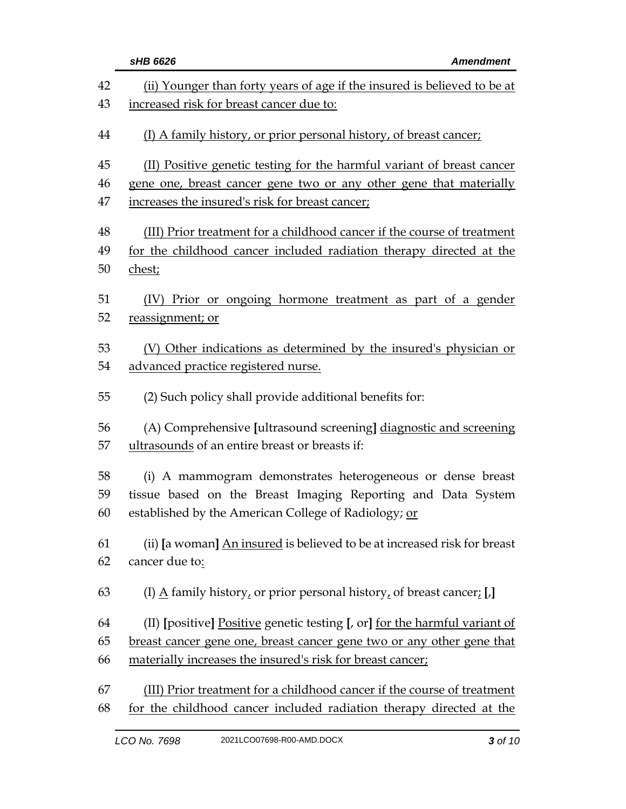|    | sHB 6626<br><b>Amendment</b>                                                         |  |
|----|--------------------------------------------------------------------------------------|--|
| 42 | (ii) Younger than forty years of age if the insured is believed to be at             |  |
| 43 | increased risk for breast cancer due to:                                             |  |
| 44 | (I) A family history, or prior personal history, of breast cancer;                   |  |
| 45 | (II) Positive genetic testing for the harmful variant of breast cancer               |  |
| 46 | gene one, breast cancer gene two or any other gene that materially                   |  |
| 47 | increases the insured's risk for breast cancer;                                      |  |
| 48 | (III) Prior treatment for a childhood cancer if the course of treatment              |  |
| 49 | for the childhood cancer included radiation therapy directed at the                  |  |
| 50 | chest;                                                                               |  |
| 51 | (IV) Prior or ongoing hormone treatment as part of a gender                          |  |
| 52 | reassignment; or                                                                     |  |
| 53 | (V) Other indications as determined by the insured's physician or                    |  |
| 54 | advanced practice registered nurse.                                                  |  |
| 55 | (2) Such policy shall provide additional benefits for:                               |  |
| 56 | (A) Comprehensive [ultrasound screening] diagnostic and screening                    |  |
| 57 | ultrasounds of an entire breast or breasts if:                                       |  |
| 58 | (i) A mammogram demonstrates heterogeneous or dense breast                           |  |
| 59 | tissue based on the Breast Imaging Reporting and Data System                         |  |
| 60 | established by the American College of Radiology; or                                 |  |
| 61 | (ii) [a woman] An insured is believed to be at increased risk for breast             |  |
| 62 | cancer due to:                                                                       |  |
| 63 | (I) $\underline{A}$ family history, or prior personal history, of breast cancer; [J] |  |
| 64 | (II) [positive] Positive genetic testing [, or] for the harmful variant of           |  |
| 65 | breast cancer gene one, breast cancer gene two or any other gene that                |  |
| 66 | materially increases the insured's risk for breast cancer;                           |  |
| 67 | (III) Prior treatment for a childhood cancer if the course of treatment              |  |
| 68 | for the childhood cancer included radiation therapy directed at the                  |  |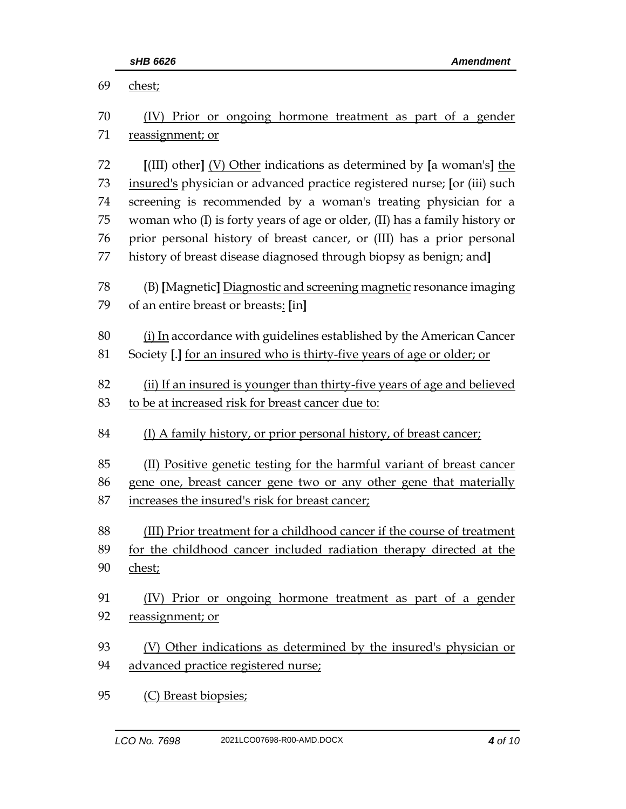| 69 | chest;                                                                     |  |  |
|----|----------------------------------------------------------------------------|--|--|
| 70 | (IV) Prior or ongoing hormone treatment as part of a gender                |  |  |
| 71 | reassignment; or                                                           |  |  |
|    |                                                                            |  |  |
| 72 | [(III) other] (V) Other indications as determined by [a woman's] the       |  |  |
| 73 | insured's physician or advanced practice registered nurse; [or (iii) such  |  |  |
| 74 | screening is recommended by a woman's treating physician for a             |  |  |
| 75 | woman who (I) is forty years of age or older, (II) has a family history or |  |  |
| 76 | prior personal history of breast cancer, or (III) has a prior personal     |  |  |
| 77 | history of breast disease diagnosed through biopsy as benign; and]         |  |  |
| 78 | (B) [Magnetic] Diagnostic and screening magnetic resonance imaging         |  |  |
| 79 | of an entire breast or breasts: [in]                                       |  |  |
|    |                                                                            |  |  |
| 80 | (i) In accordance with guidelines established by the American Cancer       |  |  |
| 81 | Society [.] for an insured who is thirty-five years of age or older; or    |  |  |
| 82 | (ii) If an insured is younger than thirty-five years of age and believed   |  |  |
| 83 | to be at increased risk for breast cancer due to:                          |  |  |
|    |                                                                            |  |  |
| 84 | (I) A family history, or prior personal history, of breast cancer;         |  |  |
| 85 | (II) Positive genetic testing for the harmful variant of breast cancer     |  |  |
| 86 | gene one, breast cancer gene two or any other gene that materially         |  |  |
| 87 | increases the insured's risk for breast cancer;                            |  |  |
|    |                                                                            |  |  |
| 88 | (III) Prior treatment for a childhood cancer if the course of treatment    |  |  |
| 89 | for the childhood cancer included radiation therapy directed at the        |  |  |
| 90 | chest;                                                                     |  |  |
| 91 | (IV) Prior or ongoing hormone treatment as part of a gender                |  |  |
| 92 | reassignment; or                                                           |  |  |
|    |                                                                            |  |  |
| 93 | (V) Other indications as determined by the insured's physician or          |  |  |
| 94 | advanced practice registered nurse;                                        |  |  |
| 95 |                                                                            |  |  |
|    | (C) Breast biopsies;                                                       |  |  |

*LCO No. 7698* 2021LCO07698-R00-AMD.DOCX *4 of 10*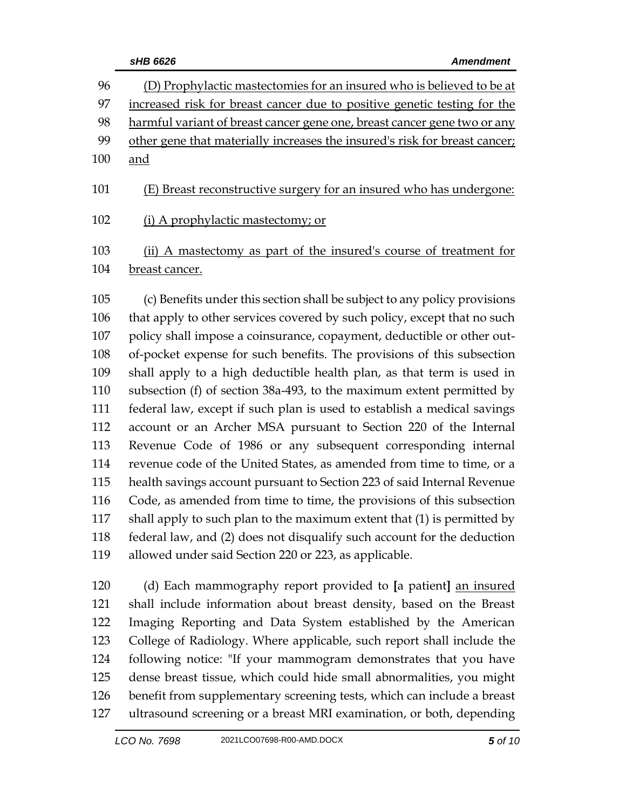|     | sHB 6626<br><b>Amendment</b>                                               |  |
|-----|----------------------------------------------------------------------------|--|
| 96  | (D) Prophylactic mastectomies for an insured who is believed to be at      |  |
| 97  | increased risk for breast cancer due to positive genetic testing for the   |  |
| 98  | harmful variant of breast cancer gene one, breast cancer gene two or any   |  |
| 99  | other gene that materially increases the insured's risk for breast cancer; |  |
| 100 | <u>and</u>                                                                 |  |
| 101 | (E) Breast reconstructive surgery for an insured who has undergone:        |  |
| 102 | (i) A prophylactic mastectomy; or                                          |  |
| 103 | (ii) A mastectomy as part of the insured's course of treatment for         |  |
| 104 | breast cancer.                                                             |  |
| 105 | (c) Benefits under this section shall be subject to any policy provisions  |  |
| 106 | that apply to other services covered by such policy, except that no such   |  |
| 107 | policy shall impose a coinsurance, copayment, deductible or other out-     |  |
| 108 | of-pocket expense for such benefits. The provisions of this subsection     |  |
| 109 | shall apply to a high deductible health plan, as that term is used in      |  |
| 110 | subsection (f) of section 38a-493, to the maximum extent permitted by      |  |
| 111 | federal law, except if such plan is used to establish a medical savings    |  |
| 112 | account or an Archer MSA pursuant to Section 220 of the Internal           |  |
| 113 | Revenue Code of 1986 or any subsequent corresponding internal              |  |
| 114 | revenue code of the United States, as amended from time to time, or a      |  |
| 115 | health savings account pursuant to Section 223 of said Internal Revenue    |  |
| 116 | Code, as amended from time to time, the provisions of this subsection      |  |
| 117 | shall apply to such plan to the maximum extent that (1) is permitted by    |  |
| 118 | federal law, and (2) does not disqualify such account for the deduction    |  |
| 119 | allowed under said Section 220 or 223, as applicable.                      |  |
| 120 | (d) Each mammography report provided to [a patient] an insured             |  |
| 121 | shall include information about breast density, based on the Breast        |  |
| 122 | Imaging Reporting and Data System established by the American              |  |
| 100 | Collage of Badislager, Whose continuity such weaget shall include the      |  |

 College of Radiology. Where applicable, such report shall include the following notice: "If your mammogram demonstrates that you have dense breast tissue, which could hide small abnormalities, you might benefit from supplementary screening tests, which can include a breast ultrasound screening or a breast MRI examination, or both, depending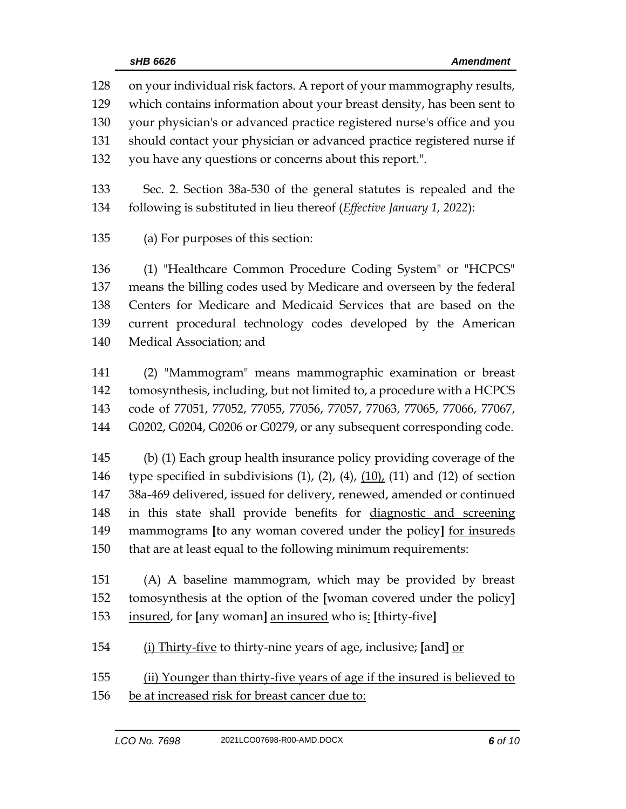on your individual risk factors. A report of your mammography results, which contains information about your breast density, has been sent to your physician's or advanced practice registered nurse's office and you should contact your physician or advanced practice registered nurse if you have any questions or concerns about this report.". Sec. 2. Section 38a-530 of the general statutes is repealed and the following is substituted in lieu thereof (*Effective January 1, 2022*): (a) For purposes of this section: (1) "Healthcare Common Procedure Coding System" or "HCPCS" means the billing codes used by Medicare and overseen by the federal Centers for Medicare and Medicaid Services that are based on the current procedural technology codes developed by the American Medical Association; and

 (2) "Mammogram" means mammographic examination or breast tomosynthesis, including, but not limited to, a procedure with a HCPCS code of 77051, 77052, 77055, 77056, 77057, 77063, 77065, 77066, 77067, G0202, G0204, G0206 or G0279, or any subsequent corresponding code.

 (b) (1) Each group health insurance policy providing coverage of the 146 type specified in subdivisions  $(1)$ ,  $(2)$ ,  $(4)$ ,  $(10)$ ,  $(11)$  and  $(12)$  of section 38a-469 delivered, issued for delivery, renewed, amended or continued in this state shall provide benefits for diagnostic and screening mammograms **[**to any woman covered under the policy**]** for insureds that are at least equal to the following minimum requirements:

 (A) A baseline mammogram, which may be provided by breast tomosynthesis at the option of the **[**woman covered under the policy**]** insured, for **[**any woman**]** an insured who is: **[**thirty-five**]**

(i) Thirty-five to thirty-nine years of age, inclusive; **[**and**]** or

 (ii) Younger than thirty-five years of age if the insured is believed to be at increased risk for breast cancer due to: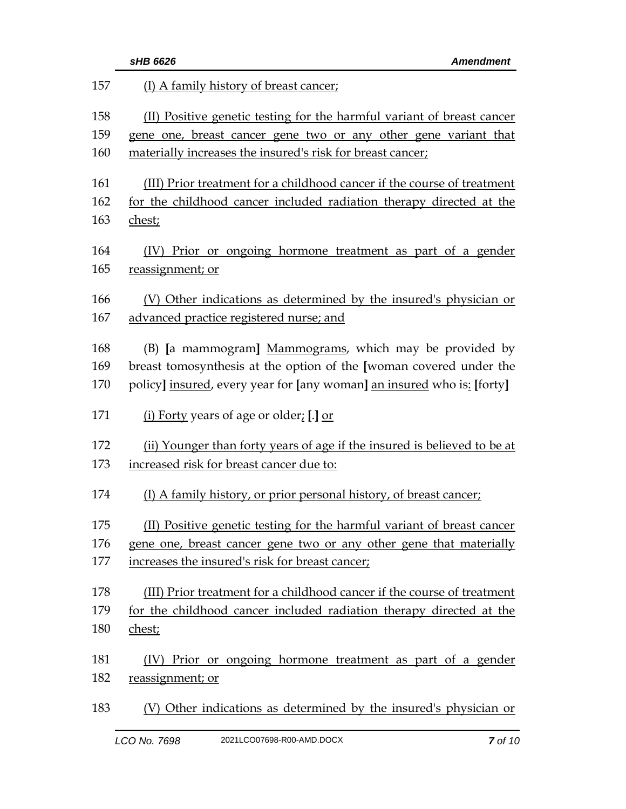|     | sHB 6626<br><b>Amendment</b>                                             |
|-----|--------------------------------------------------------------------------|
| 157 | (I) A family history of breast cancer;                                   |
| 158 | (II) Positive genetic testing for the harmful variant of breast cancer   |
| 159 | gene one, breast cancer gene two or any other gene variant that          |
| 160 | materially increases the insured's risk for breast cancer;               |
| 161 | (III) Prior treatment for a childhood cancer if the course of treatment  |
| 162 | for the childhood cancer included radiation therapy directed at the      |
| 163 | chest;                                                                   |
| 164 | (IV) Prior or ongoing hormone treatment as part of a gender              |
| 165 | reassignment; or                                                         |
| 166 | (V) Other indications as determined by the insured's physician or        |
| 167 | advanced practice registered nurse; and                                  |
| 168 | (B) [a mammogram] Mammograms, which may be provided by                   |
| 169 | breast tomosynthesis at the option of the [woman covered under the       |
| 170 | policy] insured, every year for [any woman] an insured who is: [forty]   |
| 171 | <u>(i) Forty</u> years of age or older <sub><i>i</i></sub> [.] <u>or</u> |
| 172 | (ii) Younger than forty years of age if the insured is believed to be at |
| 173 | increased risk for breast cancer due to:                                 |
| 174 | (I) A family history, or prior personal history, of breast cancer;       |
| 175 | (II) Positive genetic testing for the harmful variant of breast cancer   |
| 176 | gene one, breast cancer gene two or any other gene that materially       |
| 177 | increases the insured's risk for breast cancer;                          |
| 178 | (III) Prior treatment for a childhood cancer if the course of treatment  |
| 179 | for the childhood cancer included radiation therapy directed at the      |
| 180 | chest;                                                                   |
| 181 | Prior or ongoing hormone treatment as part of a gender<br>(IV)           |
| 182 | reassignment; or                                                         |
| 183 | (V) Other indications as determined by the insured's physician or        |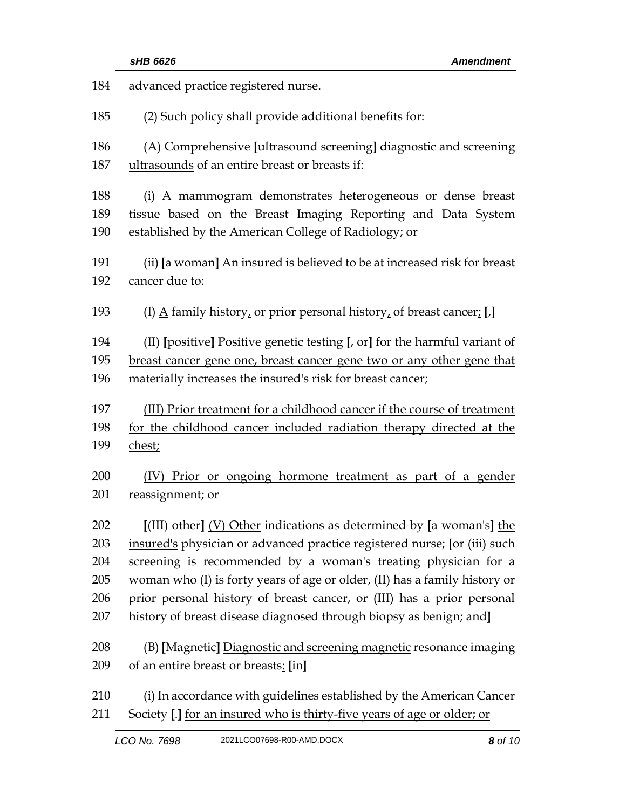| 184 | advanced practice registered nurse.                                                  |  |
|-----|--------------------------------------------------------------------------------------|--|
| 185 | (2) Such policy shall provide additional benefits for:                               |  |
| 186 | (A) Comprehensive [ultrasound screening] diagnostic and screening                    |  |
| 187 | ultrasounds of an entire breast or breasts if:                                       |  |
| 188 | (i) A mammogram demonstrates heterogeneous or dense breast                           |  |
| 189 | tissue based on the Breast Imaging Reporting and Data System                         |  |
| 190 | established by the American College of Radiology; or                                 |  |
| 191 | (ii) [a woman] An insured is believed to be at increased risk for breast             |  |
| 192 | cancer due to:                                                                       |  |
| 193 | (I) $\underline{A}$ family history, or prior personal history, of breast cancer; [.] |  |
| 194 | (II) [positive] Positive genetic testing [, or] for the harmful variant of           |  |
| 195 | breast cancer gene one, breast cancer gene two or any other gene that                |  |
| 196 | materially increases the insured's risk for breast cancer;                           |  |
| 197 | (III) Prior treatment for a childhood cancer if the course of treatment              |  |
| 198 | for the childhood cancer included radiation therapy directed at the                  |  |
| 199 | chest;                                                                               |  |
| 200 | (IV) Prior or ongoing hormone treatment as part of a gender                          |  |
| 201 | reassignment; or                                                                     |  |
| 202 | $[$ (III) other] $(V)$ Other indications as determined by [a woman's] the            |  |
| 203 | insured's physician or advanced practice registered nurse; [or (iii) such            |  |
| 204 | screening is recommended by a woman's treating physician for a                       |  |
| 205 | woman who (I) is forty years of age or older, (II) has a family history or           |  |
| 206 | prior personal history of breast cancer, or (III) has a prior personal               |  |
| 207 | history of breast disease diagnosed through biopsy as benign; and]                   |  |
| 208 | (B) [Magnetic] Diagnostic and screening magnetic resonance imaging                   |  |
| 209 | of an entire breast or breasts: [in]                                                 |  |
| 210 | (i) In accordance with guidelines established by the American Cancer                 |  |
| 211 | Society [.] for an insured who is thirty-five years of age or older; or              |  |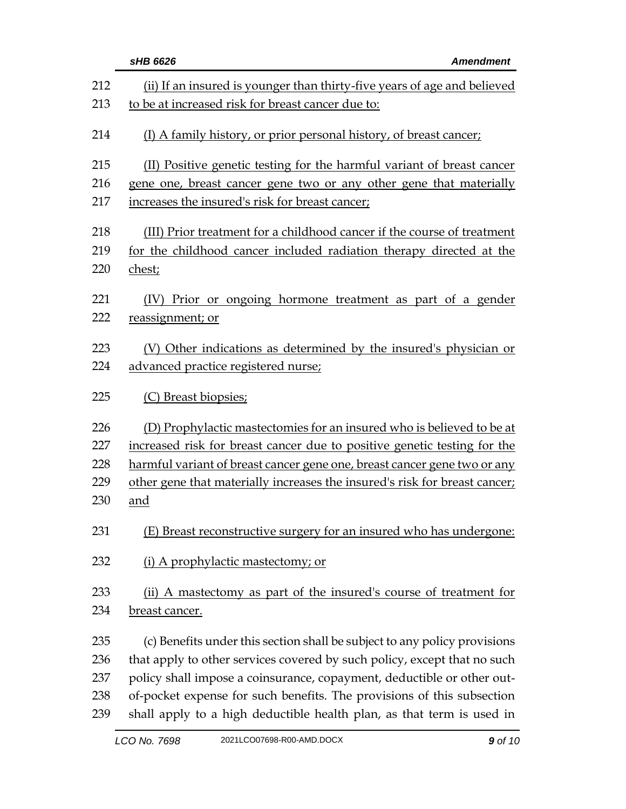|     | sHB 6626<br><b>Amendment</b>                                               |  |
|-----|----------------------------------------------------------------------------|--|
| 212 | (ii) If an insured is younger than thirty-five years of age and believed   |  |
| 213 | to be at increased risk for breast cancer due to:                          |  |
| 214 | (I) A family history, or prior personal history, of breast cancer;         |  |
| 215 | (II) Positive genetic testing for the harmful variant of breast cancer     |  |
| 216 | gene one, breast cancer gene two or any other gene that materially         |  |
| 217 | increases the insured's risk for breast cancer;                            |  |
| 218 | (III) Prior treatment for a childhood cancer if the course of treatment    |  |
| 219 | for the childhood cancer included radiation therapy directed at the        |  |
| 220 | chest;                                                                     |  |
| 221 | Prior or ongoing hormone treatment as part of a gender<br>(IV)             |  |
| 222 | reassignment; or                                                           |  |
| 223 | (V) Other indications as determined by the insured's physician or          |  |
| 224 | advanced practice registered nurse;                                        |  |
| 225 | (C) Breast biopsies;                                                       |  |
| 226 | (D) Prophylactic mastectomies for an insured who is believed to be at      |  |
| 227 | increased risk for breast cancer due to positive genetic testing for the   |  |
| 228 | harmful variant of breast cancer gene one, breast cancer gene two or any   |  |
| 229 | other gene that materially increases the insured's risk for breast cancer; |  |
| 230 | and                                                                        |  |
| 231 | (E) Breast reconstructive surgery for an insured who has undergone:        |  |
| 232 | (i) A prophylactic mastectomy; or                                          |  |
| 233 | (ii) A mastectomy as part of the insured's course of treatment for         |  |
| 234 | breast cancer.                                                             |  |
| 235 | (c) Benefits under this section shall be subject to any policy provisions  |  |
| 236 | that apply to other services covered by such policy, except that no such   |  |
| 237 | policy shall impose a coinsurance, copayment, deductible or other out-     |  |
| 238 | of-pocket expense for such benefits. The provisions of this subsection     |  |
| 239 | shall apply to a high deductible health plan, as that term is used in      |  |